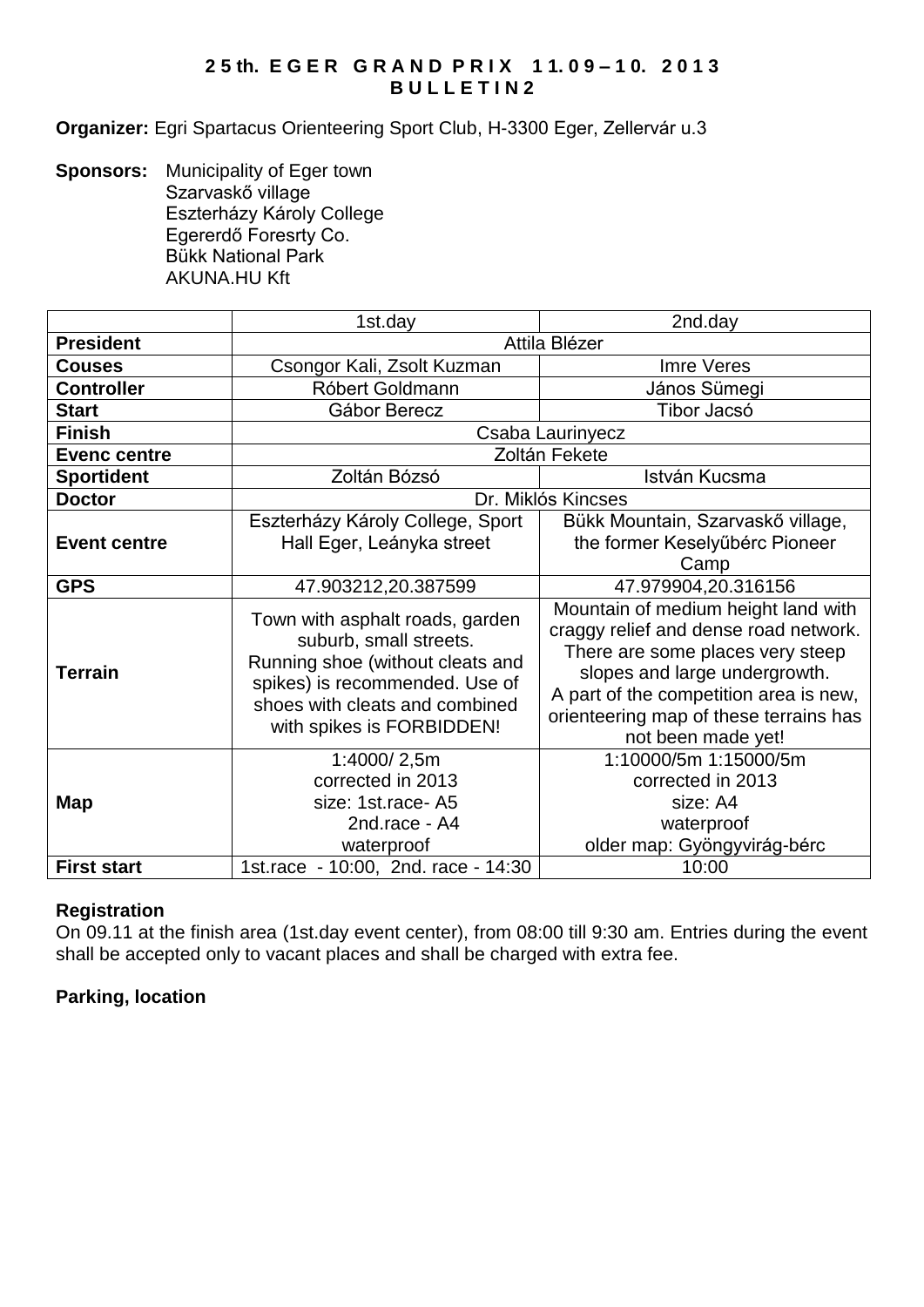# **2 5 th. E G E R G R A N D P R I X 1 1. 0 9 – 1 0. 2 0 1 3 B U L L E T I N 2**

**Organizer:** Egri Spartacus Orienteering Sport Club, H-3300 Eger, Zellervár u.3

**Sponsors:** Municipality of Eger town Szarvaskő village Eszterházy Károly College Egererdő Foresrty Co. Bükk National Park AKUNA.HU Kft

|                     | 1st.day                                                                                                                                                                                        | 2nd.day                                                                                                                                                                                                                                                     |  |
|---------------------|------------------------------------------------------------------------------------------------------------------------------------------------------------------------------------------------|-------------------------------------------------------------------------------------------------------------------------------------------------------------------------------------------------------------------------------------------------------------|--|
| <b>President</b>    | Attila Blézer                                                                                                                                                                                  |                                                                                                                                                                                                                                                             |  |
| <b>Couses</b>       | Csongor Kali, Zsolt Kuzman                                                                                                                                                                     | Imre Veres                                                                                                                                                                                                                                                  |  |
| <b>Controller</b>   | Róbert Goldmann                                                                                                                                                                                | János Sümegi                                                                                                                                                                                                                                                |  |
| <b>Start</b>        | Gábor Berecz                                                                                                                                                                                   | Tibor Jacsó                                                                                                                                                                                                                                                 |  |
| <b>Finish</b>       | Csaba Laurinyecz                                                                                                                                                                               |                                                                                                                                                                                                                                                             |  |
| <b>Evenc centre</b> | Zoltán Fekete                                                                                                                                                                                  |                                                                                                                                                                                                                                                             |  |
| <b>Sportident</b>   | Zoltán Bózsó                                                                                                                                                                                   | István Kucsma                                                                                                                                                                                                                                               |  |
| <b>Doctor</b>       | Dr. Miklós Kincses                                                                                                                                                                             |                                                                                                                                                                                                                                                             |  |
| <b>Event centre</b> | Eszterházy Károly College, Sport<br>Hall Eger, Leányka street                                                                                                                                  | Bükk Mountain, Szarvaskő village,<br>the former Keselyűbérc Pioneer<br>Camp                                                                                                                                                                                 |  |
| <b>GPS</b>          | 47.903212,20.387599                                                                                                                                                                            | 47.979904,20.316156                                                                                                                                                                                                                                         |  |
| <b>Terrain</b>      | Town with asphalt roads, garden<br>suburb, small streets.<br>Running shoe (without cleats and<br>spikes) is recommended. Use of<br>shoes with cleats and combined<br>with spikes is FORBIDDEN! | Mountain of medium height land with<br>craggy relief and dense road network.<br>There are some places very steep<br>slopes and large undergrowth.<br>A part of the competition area is new,<br>orienteering map of these terrains has<br>not been made yet! |  |
| Map                 | 1:4000/2,5m<br>corrected in 2013<br>size: 1st.race-A5<br>2nd.race - A4<br>waterproof                                                                                                           | 1:10000/5m 1:15000/5m<br>corrected in 2013<br>size: A4<br>waterproof<br>older map: Gyöngyvirág-bérc                                                                                                                                                         |  |
| <b>First start</b>  | 1st.race - 10:00, 2nd. race - 14:30                                                                                                                                                            | 10:00                                                                                                                                                                                                                                                       |  |

# **Registration**

On 09.11 at the finish area (1st.day event center), from 08:00 till 9:30 am. Entries during the event shall be accepted only to vacant places and shall be charged with extra fee.

# **Parking, location**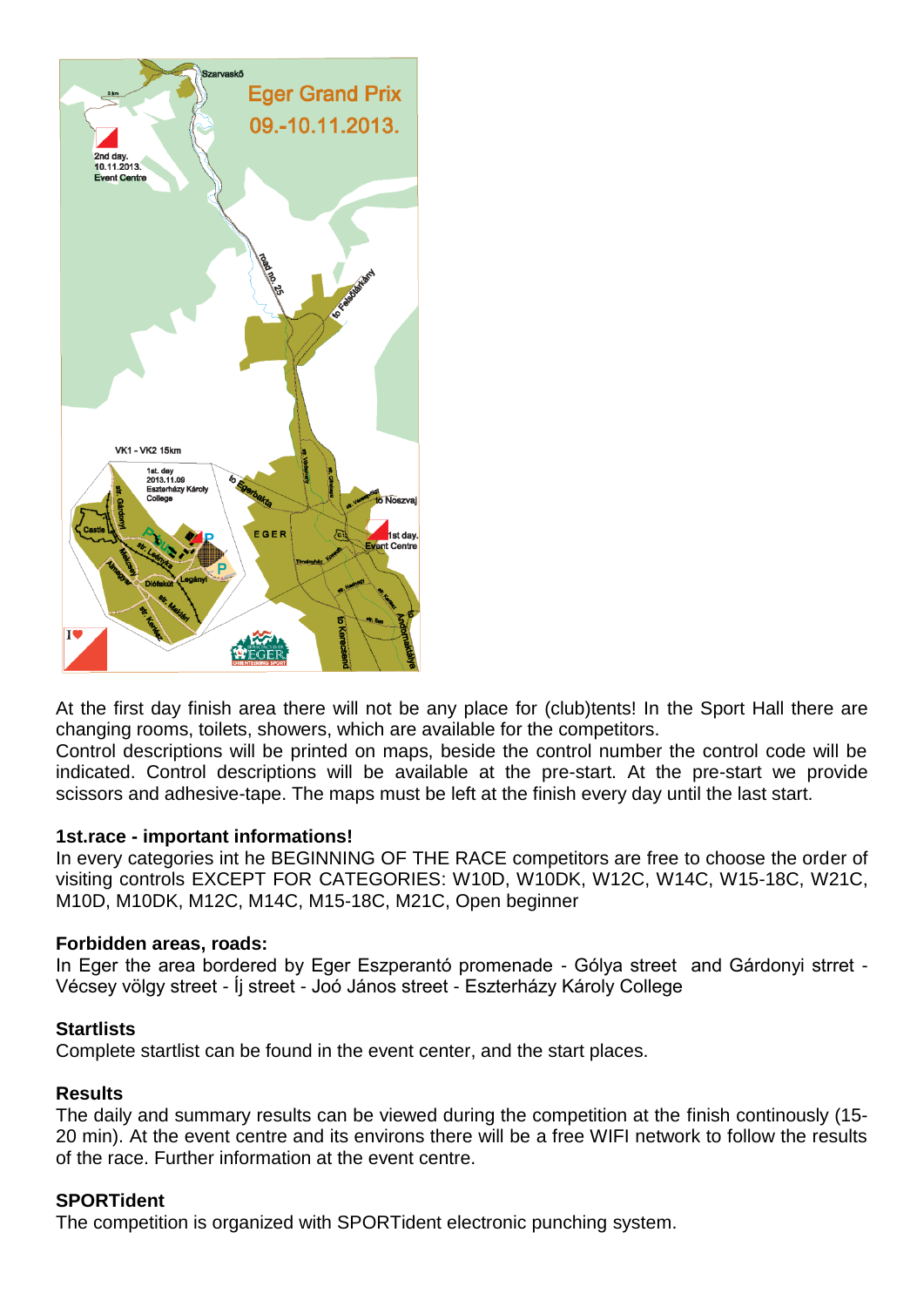

At the first day finish area there will not be any place for (club)tents! In the Sport Hall there are changing rooms, toilets, showers, which are available for the competitors.

Control descriptions will be printed on maps, beside the control number the control code will be indicated. Control descriptions will be available at the pre-start. At the pre-start we provide scissors and adhesive-tape. The maps must be left at the finish every day until the last start.

### **1st.race - important informations!**

In every categories int he BEGINNING OF THE RACE competitors are free to choose the order of visiting controls EXCEPT FOR CATEGORIES: W10D, W10DK, W12C, W14C, W15-18C, W21C, M10D, M10DK, M12C, M14C, M15-18C, M21C, Open beginner

### **Forbidden areas, roads:**

In Eger the area bordered by Eger Eszperantó promenade - Gólya street and Gárdonyi strret - Vécsey völgy street - Íj street - Joó János street - Eszterházy Károly College

#### **Startlists**

Complete startlist can be found in the event center, and the start places.

### **Results**

The daily and summary results can be viewed during the competition at the finish continously (15- 20 min). At the event centre and its environs there will be a free WIFI network to follow the results of the race. Further information at the event centre.

### **SPORTident**

The competition is organized with SPORTident electronic punching system.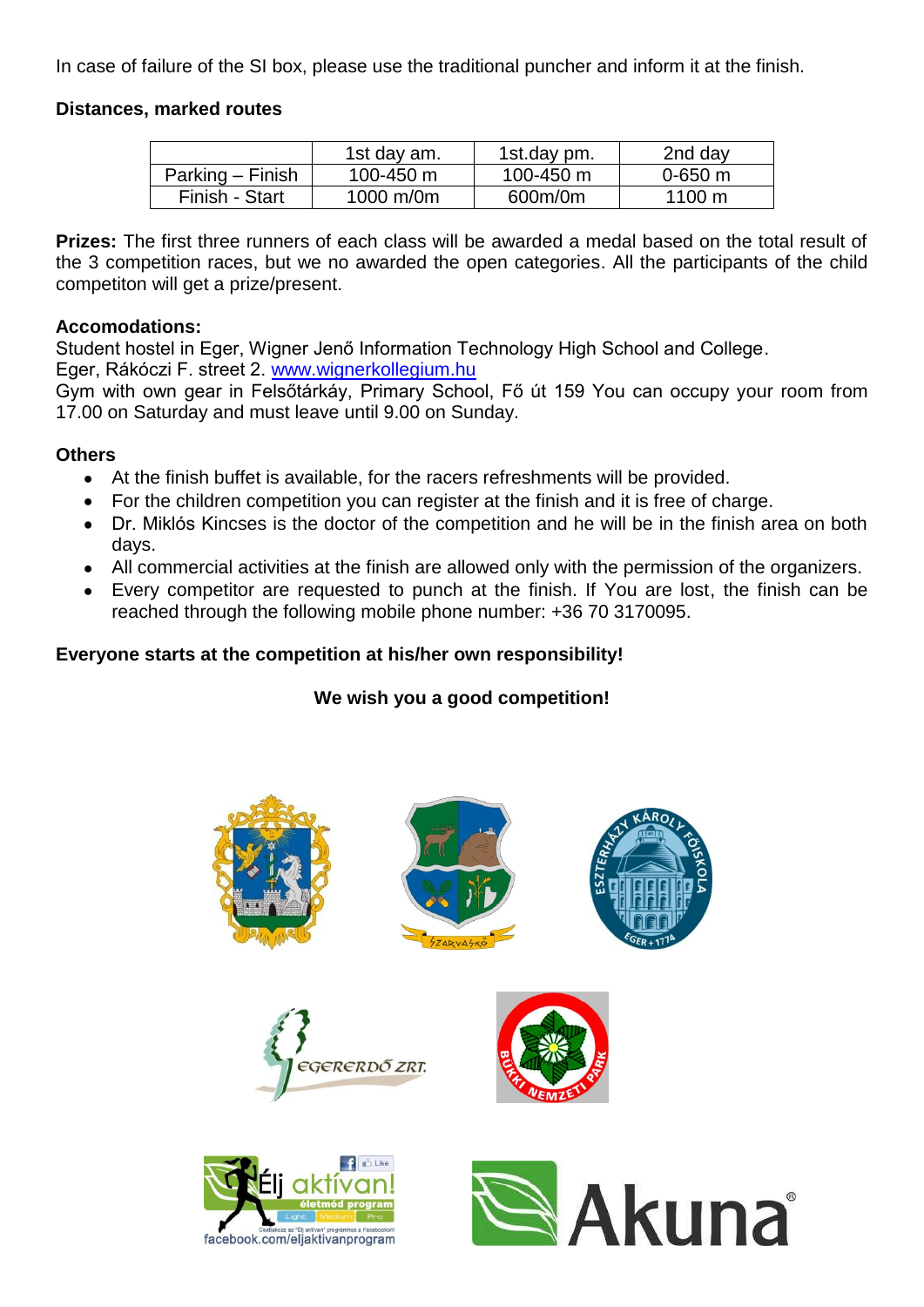In case of failure of the SI box, please use the traditional puncher and inform it at the finish.

## **Distances, marked routes**

|                  | 1st day am.    | 1st.day pm. | 2nd day          |
|------------------|----------------|-------------|------------------|
| Parking – Finish | 100-450 $\,$ m | 100-450 m   | $0 - 650$ m      |
| Finish - Start   | 1000 m/0m      | 600m/0m     | $1100 \text{ m}$ |

**Prizes:** The first three runners of each class will be awarded a medal based on the total result of the 3 competition races, but we no awarded the open categories. All the participants of the child competiton will get a prize/present.

### **Accomodations:**

Student hostel in Eger, Wigner Jenő Information Technology High School and College. Eger, Rákóczi F. street 2. [www.wignerkollegium.hu](http://www.wignerkollegium.hu/)

Gym with own gear in Felsőtárkáy, Primary School, Fő út 159 You can occupy your room from 17.00 on Saturday and must leave until 9.00 on Sunday.

### **Others**

- At the finish buffet is available, for the racers refreshments will be provided.
- For the children competition you can register at the finish and it is free of charge.
- Dr. Miklós Kincses is the doctor of the competition and he will be in the finish area on both days.
- All commercial activities at the finish are allowed only with the permission of the organizers.
- Every competitor are requested to punch at the finish. If You are lost, the finish can be reached through the following mobile phone number: +36 70 3170095.

# **Everyone starts at the competition at his/her own responsibility!**

# **We wish you a good competition!**